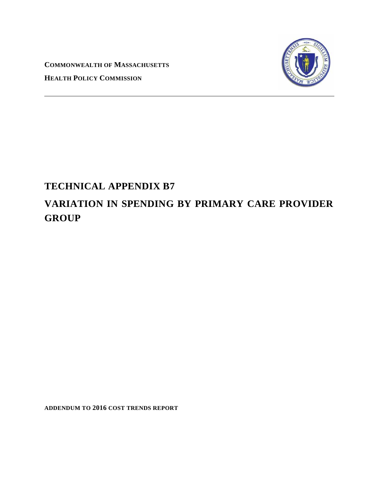**COMMONWEALTH OF MASSACHUSETTS HEALTH POLICY COMMISSION**



## **TECHNICAL APPENDIX B7**

# **VARIATION IN SPENDING BY PRIMARY CARE PROVIDER GROUP**

**ADDENDUM TO 2016 COST TRENDS REPORT**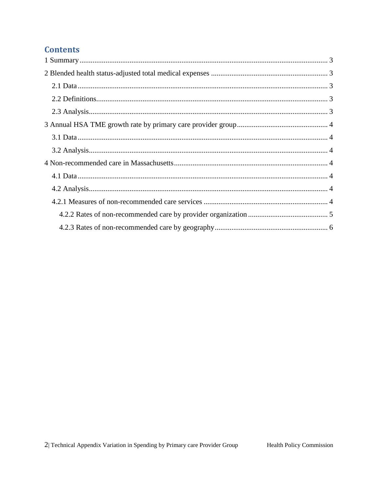## **Contents**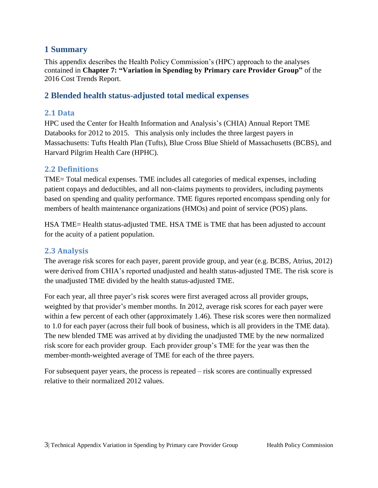## <span id="page-2-0"></span>**1 Summary**

This appendix describes the Health Policy Commission's (HPC) approach to the analyses contained in **Chapter 7: "Variation in Spending by Primary care Provider Group"** of the 2016 Cost Trends Report.

## <span id="page-2-1"></span>**2 Blended health status-adjusted total medical expenses**

#### <span id="page-2-2"></span>**2.1 Data**

HPC used the Center for Health Information and Analysis's (CHIA) Annual Report TME Databooks for 2012 to 2015. This analysis only includes the three largest payers in Massachusetts: Tufts Health Plan (Tufts), Blue Cross Blue Shield of Massachusetts (BCBS), and Harvard Pilgrim Health Care (HPHC).

#### <span id="page-2-3"></span>**2.2 Definitions**

TME= Total medical expenses. TME includes all categories of medical expenses, including patient copays and deductibles, and all non-claims payments to providers, including payments based on spending and quality performance. TME figures reported encompass spending only for members of health maintenance organizations (HMOs) and point of service (POS) plans.

HSA TME= Health status-adjusted TME. HSA TME is TME that has been adjusted to account for the acuity of a patient population.

## <span id="page-2-4"></span>**2.3 Analysis**

The average risk scores for each payer, parent provide group, and year (e.g. BCBS, Atrius, 2012) were derived from CHIA's reported unadjusted and health status-adjusted TME. The risk score is the unadjusted TME divided by the health status-adjusted TME.

For each year, all three payer's risk scores were first averaged across all provider groups, weighted by that provider's member months. In 2012, average risk scores for each payer were within a few percent of each other (approximately 1.46). These risk scores were then normalized to 1.0 for each payer (across their full book of business, which is all providers in the TME data). The new blended TME was arrived at by dividing the unadjusted TME by the new normalized risk score for each provider group. Each provider group's TME for the year was then the member-month-weighted average of TME for each of the three payers.

For subsequent payer years, the process is repeated – risk scores are continually expressed relative to their normalized 2012 values.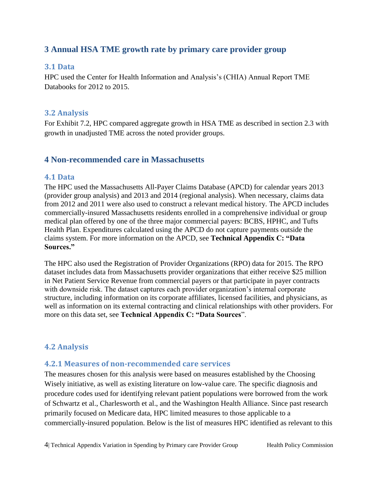## <span id="page-3-0"></span>**3 Annual HSA TME growth rate by primary care provider group**

#### <span id="page-3-1"></span>**3.1 Data**

HPC used the Center for Health Information and Analysis's (CHIA) Annual Report TME Databooks for 2012 to 2015.

#### <span id="page-3-2"></span>**3.2 Analysis**

For Exhibit 7.2, HPC compared aggregate growth in HSA TME as described in section 2.3 with growth in unadjusted TME across the noted provider groups.

## <span id="page-3-3"></span>**4 Non-recommended care in Massachusetts**

#### <span id="page-3-4"></span>**4.1 Data**

The HPC used the Massachusetts All-Payer Claims Database (APCD) for calendar years 2013 (provider group analysis) and 2013 and 2014 (regional analysis). When necessary, claims data from 2012 and 2011 were also used to construct a relevant medical history. The APCD includes commercially-insured Massachusetts residents enrolled in a comprehensive individual or group medical plan offered by one of the three major commercial payers: BCBS, HPHC, and Tufts Health Plan. Expenditures calculated using the APCD do not capture payments outside the claims system. For more information on the APCD, see **Technical Appendix C: "Data Sources."**

The HPC also used the Registration of Provider Organizations (RPO) data for 2015. The RPO dataset includes data from Massachusetts provider organizations that either receive \$25 million in Net Patient Service Revenue from commercial payers or that participate in payer contracts with downside risk. The dataset captures each provider organization's internal corporate structure, including information on its corporate affiliates, licensed facilities, and physicians, as well as information on its external contracting and clinical relationships with other providers. For more on this data set, see **Technical Appendix C: "Data Sources**".

## <span id="page-3-5"></span>**4.2 Analysis**

## <span id="page-3-6"></span>**4.2.1 Measures of non-recommended care services**

The measures chosen for this analysis were based on measures established by the Choosing Wisely initiative, as well as existing literature on low-value care. The specific diagnosis and procedure codes used for identifying relevant patient populations were borrowed from the work of Schwartz et al., Charlesworth et al., and the Washington Health Alliance. Since past research primarily focused on Medicare data, HPC limited measures to those applicable to a commercially-insured population. Below is the list of measures HPC identified as relevant to this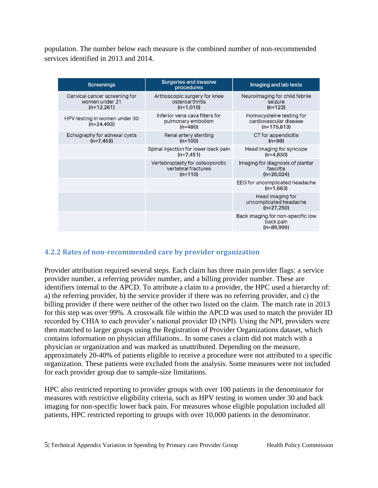population. The number below each measure is the combined number of non-recommended services identified in 2013 and 2014.

| <b>Screenings</b>                                               | <b>Surgeries and invasive</b><br>procedures                         | Imaging and lab tests                                               |
|-----------------------------------------------------------------|---------------------------------------------------------------------|---------------------------------------------------------------------|
| Cervical cancer screening for<br>women under 21<br>$(n=12,261)$ | Arthoscopic surgery for knee<br>osteroarthritis<br>$(n=1,010)$      | Neuroimaging for child febrile<br>seizure<br>$(n=122)$              |
| HPV testing in women under 30<br>$(n=24, 493)$                  | Inferior vena cava filters for<br>pulmonary embolism<br>$(n=480)$   | Homocysteine testing for<br>cardiovascular disease<br>$(n=175,813)$ |
| Echography for adnexal cysts<br>$(n=7, 459)$                    | Renal artery stenting<br>$(n=100)$                                  | CT for appendicitis<br>$(n=98)$                                     |
|                                                                 | Spinal injection for lower back pain<br>$(n=7.451)$                 | Head imaging for syncope<br>$(n=4.830)$                             |
|                                                                 | Vertebroplasty for osteoporotic<br>vertebral fractures<br>$(n=110)$ | Imaging for diagnosis of plantar<br>fasciitis<br>$(n=20,024)$       |
|                                                                 |                                                                     | EEG for uncomplicated headache<br>$(n=1,683)$                       |
|                                                                 |                                                                     | Head imaging for<br>uncomplicated headache<br>$(n=27,250)$          |
|                                                                 |                                                                     | Back imaging for non-specific low<br>back pain<br>$(n=89,999)$      |

#### <span id="page-4-0"></span>**4.2.2 Rates of non-recommended care by provider organization**

Provider attribution required several steps. Each claim has three main provider flags: a service provider number, a referring provider number, and a billing provider number. These are identifiers internal to the APCD. To attribute a claim to a provider, the HPC used a hierarchy of: a) the referring provider, b) the service provider if there was no referring provider, and c) the billing provider if there were neither of the other two listed on the claim. The match rate in 2013 for this step was over 99%. A crosswalk file within the APCD was used to match the provider ID recorded by CHIA to each provider's national provider ID (NPI). Using the NPI, providers were then matched to larger groups using the Registration of Provider Organizations dataset, which contains information on physician affiliations.. In some cases a claim did not match with a physician or organization and was marked as unattributed. Depending on the measure, approximately 20-40% of patients eligible to receive a procedure were not attributed to a specific organization. These patients were excluded from the analysis. Some measures were not included for each provider group due to sample-size limitations.

HPC also restricted reporting to provider groups with over 100 patients in the denominator for measures with restrictive eligibility criteria, such as HPV testing in women under 30 and back imaging for non-specific lower back pain. For measures whose eligible population included all patients, HPC restricted reporting to groups with over 10,000 patients in the denominator.